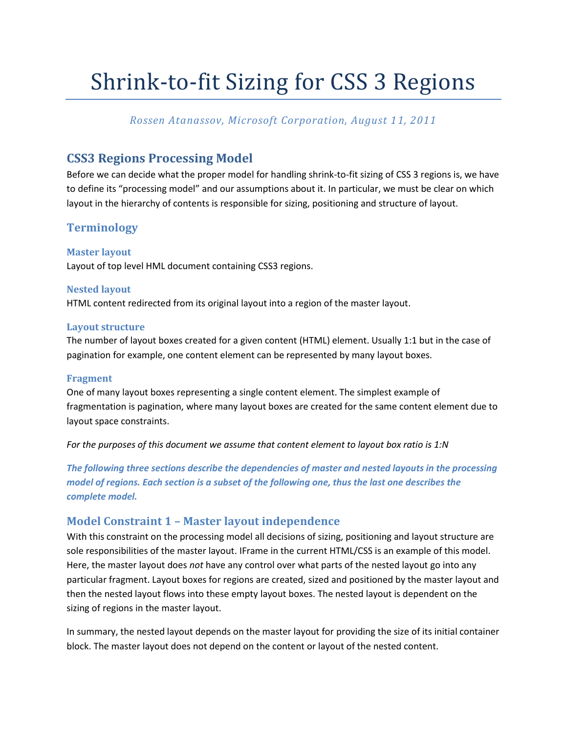# Shrink-to-fit Sizing for CSS 3 Regions

## *Rossen Atanassov, Microsoft Corporation, August 11, 2011*

# **CSS3 Regions Processing Model**

Before we can decide what the proper model for handling shrink-to-fit sizing of CSS 3 regions is, we have to define its "processing model" and our assumptions about it. In particular, we must be clear on which layout in the hierarchy of contents is responsible for sizing, positioning and structure of layout.

# **Terminology**

**Master layout** Layout of top level HML document containing CSS3 regions.

#### **Nested layout**

HTML content redirected from its original layout into a region of the master layout.

#### **Layout structure**

The number of layout boxes created for a given content (HTML) element. Usually 1:1 but in the case of pagination for example, one content element can be represented by many layout boxes.

#### **Fragment**

One of many layout boxes representing a single content element. The simplest example of fragmentation is pagination, where many layout boxes are created for the same content element due to layout space constraints.

*For the purposes of this document we assume that content element to layout box ratio is 1:N*

*The following three sections describe the dependencies of master and nested layouts in the processing model of regions. Each section is a subset of the following one, thus the last one describes the complete model.*

## <span id="page-0-0"></span>**Model Constraint 1 – Master layout independence**

With this constraint on the processing model all decisions of sizing, positioning and layout structure are sole responsibilities of the master layout. IFrame in the current HTML/CSS is an example of this model. Here, the master layout does *not* have any control over what parts of the nested layout go into any particular fragment. Layout boxes for regions are created, sized and positioned by the master layout and then the nested layout flows into these empty layout boxes. The nested layout is dependent on the sizing of regions in the master layout.

In summary, the nested layout depends on the master layout for providing the size of its initial container block. The master layout does not depend on the content or layout of the nested content.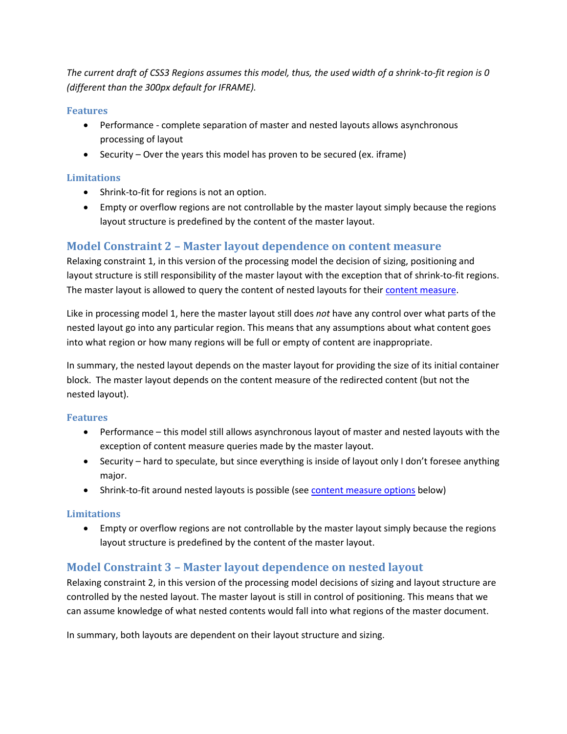*The current draft of CSS3 Regions assumes this model, thus, the used width of a shrink-to-fit region is 0 (different than the 300px default for IFRAME).*

#### **Features**

- Performance complete separation of master and nested layouts allows asynchronous processing of layout
- $\bullet$  Security Over the years this model has proven to be secured (ex. iframe)

## **Limitations**

- Shrink-to-fit for regions is not an option.
- Empty or overflow regions are not controllable by the master layout simply because the regions layout structure is predefined by the content of the master layout.

## <span id="page-1-0"></span>**Model Constraint 2 – Master layout dependence on content measure**

Relaxing constraint 1, in this version of the processing model the decision of sizing, positioning and layout structure is still responsibility of the master layout with the exception that of shrink-to-fit regions. The master layout is allowed to query the content of nested layouts for their [content measure.](#page-3-0)

Like in processing model 1, here the master layout still does *not* have any control over what parts of the nested layout go into any particular region. This means that any assumptions about what content goes into what region or how many regions will be full or empty of content are inappropriate.

In summary, the nested layout depends on the master layout for providing the size of its initial container block. The master layout depends on the content measure of the redirected content (but not the nested layout).

## **Features**

- Performance this model still allows asynchronous layout of master and nested layouts with the exception of content measure queries made by the master layout.
- Security hard to speculate, but since everything is inside of layout only I don't foresee anything major.
- Shrink-to-fit around nested layouts is possible (see [content measure options](#page-3-1) below)

## **Limitations**

 Empty or overflow regions are not controllable by the master layout simply because the regions layout structure is predefined by the content of the master layout.

# <span id="page-1-1"></span>**Model Constraint 3 – Master layout dependence on nested layout**

Relaxing constraint 2, in this version of the processing model decisions of sizing and layout structure are controlled by the nested layout. The master layout is still in control of positioning. This means that we can assume knowledge of what nested contents would fall into what regions of the master document.

In summary, both layouts are dependent on their layout structure and sizing.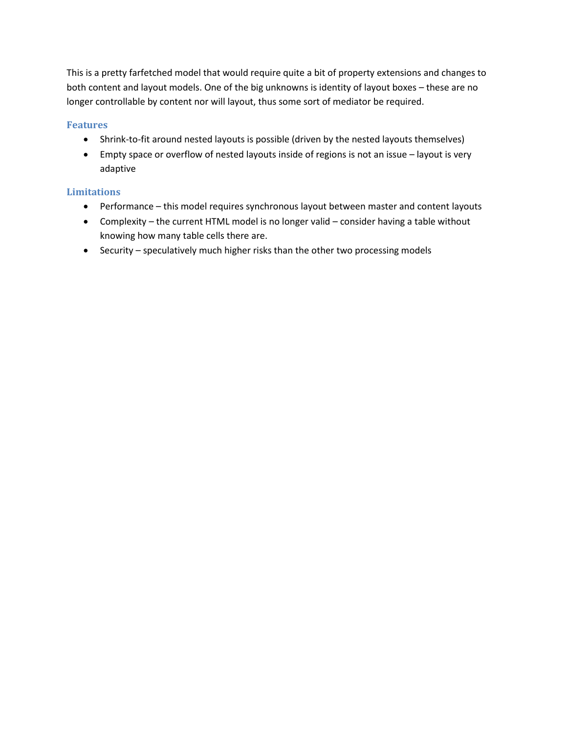This is a pretty farfetched model that would require quite a bit of property extensions and changes to both content and layout models. One of the big unknowns is identity of layout boxes – these are no longer controllable by content nor will layout, thus some sort of mediator be required.

#### **Features**

- Shrink-to-fit around nested layouts is possible (driven by the nested layouts themselves)
- Empty space or overflow of nested layouts inside of regions is not an issue layout is very adaptive

## **Limitations**

- Performance this model requires synchronous layout between master and content layouts
- Complexity the current HTML model is no longer valid consider having a table without knowing how many table cells there are.
- Security speculatively much higher risks than the other two processing models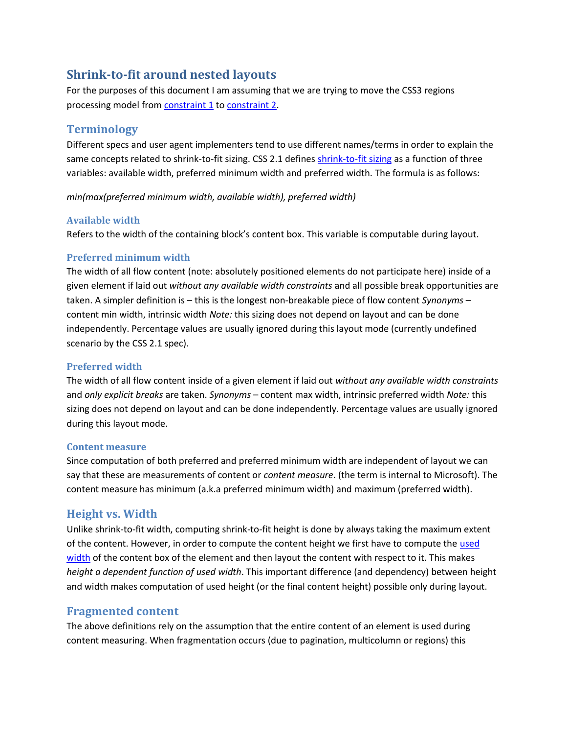# <span id="page-3-1"></span>**Shrink-to-fit around nested layouts**

For the purposes of this document I am assuming that we are trying to move the CSS3 regions processing model from **[constraint](#page-0-0) 1** to **constraint 2**.

# **Terminology**

Different specs and user agent implementers tend to use different names/terms in order to explain the same concepts related to shrink-to-fit sizing. CSS 2.1 defines [shrink-to-fit sizing](http://www.w3.org/TR/CSS21/visudet.html#shrink-to-fit-float) as a function of three variables: available width, preferred minimum width and preferred width. The formula is as follows:

*min(max(preferred minimum width, available width), preferred width)* 

## **Available width**

Refers to the width of the containing block's content box. This variable is computable during layout.

## <span id="page-3-2"></span>**Preferred minimum width**

The width of all flow content (note: absolutely positioned elements do not participate here) inside of a given element if laid out *without any available width constraints* and all possible break opportunities are taken. A simpler definition is – this is the longest non-breakable piece of flow content *Synonyms* – content min width, intrinsic width *Note:* this sizing does not depend on layout and can be done independently. Percentage values are usually ignored during this layout mode (currently undefined scenario by the CSS 2.1 spec).

## <span id="page-3-3"></span>**Preferred width**

The width of all flow content inside of a given element if laid out *without any available width constraints* and *only explicit breaks* are taken. *Synonyms* – content max width, intrinsic preferred width *Note:* this sizing does not depend on layout and can be done independently. Percentage values are usually ignored during this layout mode.

## <span id="page-3-0"></span>**Content measure**

Since computation of both preferred and preferred minimum width are independent of layout we can say that these are measurements of content or *content measure*. (the term is internal to Microsoft). The content measure has minimum (a.k.a preferred minimum width) and maximum (preferred width).

## **Height vs. Width**

Unlike shrink-to-fit width, computing shrink-to-fit height is done by always taking the maximum extent of the content. However, in order to compute the content height we first have to compute th[e used](http://www.w3.org/TR/CSS21/cascade.html#used-value) [width](http://www.w3.org/TR/CSS21/cascade.html#used-value) of the content box of the element and then layout the content with respect to it. This makes *height a dependent function of used width*. This important difference (and dependency) between height and width makes computation of used height (or the final content height) possible only during layout.

# **Fragmented content**

The above definitions rely on the assumption that the entire content of an element is used during content measuring. When fragmentation occurs (due to pagination, multicolumn or regions) this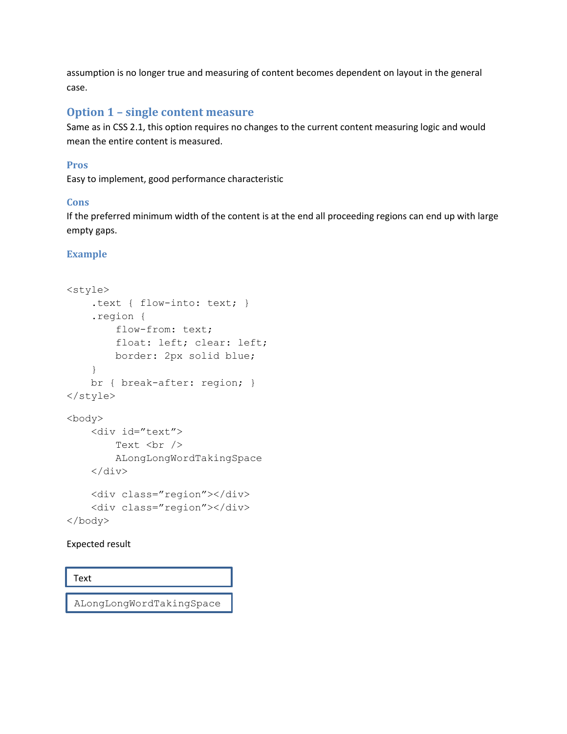assumption is no longer true and measuring of content becomes dependent on layout in the general case.

## **Option 1 – single content measure**

Same as in CSS 2.1, this option requires no changes to the current content measuring logic and would mean the entire content is measured.

## **Pros**

Easy to implement, good performance characteristic

#### **Cons**

If the preferred minimum width of the content is at the end all proceeding regions can end up with large empty gaps.

## **Example**

```
<style>
     .text { flow-into: text; }
     .region { 
         flow-from: text;
         float: left; clear: left;
         border: 2px solid blue;
     }
     br { break-after: region; }
</style>
<body>
     <div id="text">
        Text <br />
         ALongLongWordTakingSpace
    \langlediv>
     <div class="region"></div>
     <div class="region"></div>
</body>
```
#### Expected result

Text

ALongLongWordTakingSpace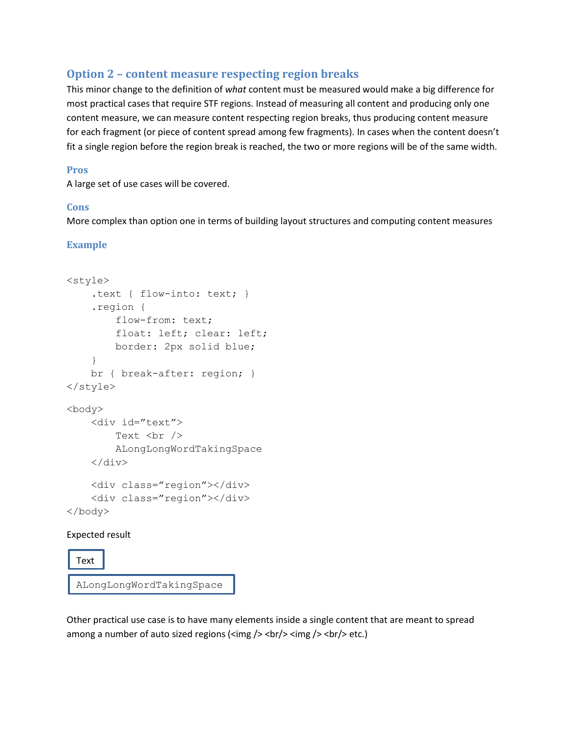# <span id="page-5-0"></span>**Option 2 – content measure respecting region breaks**

This minor change to the definition of *what* content must be measured would make a big difference for most practical cases that require STF regions. Instead of measuring all content and producing only one content measure, we can measure content respecting region breaks, thus producing content measure for each fragment (or piece of content spread among few fragments). In cases when the content doesn't fit a single region before the region break is reached, the two or more regions will be of the same width.

#### **Pros**

A large set of use cases will be covered.

## **Cons**

More complex than option one in terms of building layout structures and computing content measures

## **Example**

```
<style>
     .text { flow-into: text; }
     .region { 
         flow-from: text;
          float: left; clear: left;
         border: 2px solid blue;
     }
     br { break-after: region; }
</style>
<body>
     <div id="text">
        Text <br />
         ALongLongWordTakingSpace
    \langlediv\rangle <div class="region"></div>
     <div class="region"></div>
</body>
```
#### Expected result

Text

ALongLongWordTakingSpace

Other practical use case is to have many elements inside a single content that are meant to spread among a number of auto sized regions ( $\langle \text{img } \rangle$   $\langle \text{br/} \rangle$   $\langle \text{img } \rangle$   $\langle \text{br/} \rangle$   $\langle \text{ctr/} \rangle$  etc.)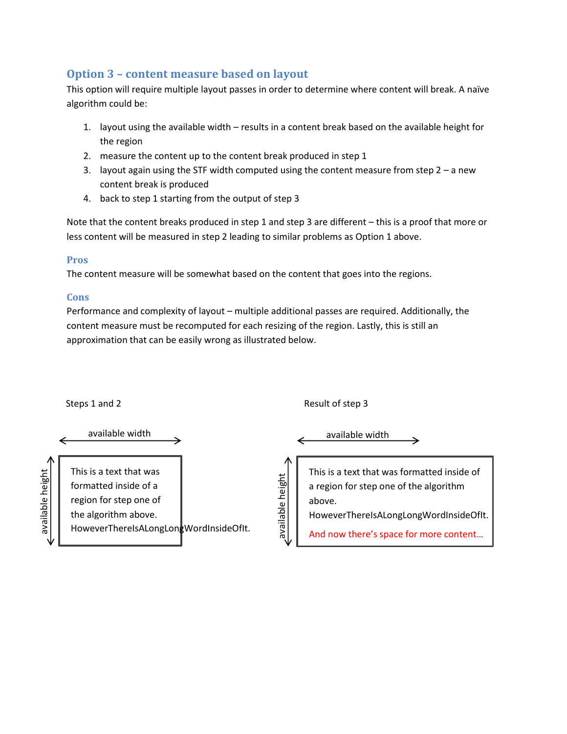# <span id="page-6-0"></span>**Option 3 – content measure based on layout**

This option will require multiple layout passes in order to determine where content will break. A naïve algorithm could be:

- 1. layout using the available width results in a content break based on the available height for the region
- 2. measure the content up to the content break produced in step 1
- 3. layout again using the STF width computed using the content measure from step  $2 a$  new content break is produced
- 4. back to step 1 starting from the output of step 3

Note that the content breaks produced in step 1 and step 3 are different – this is a proof that more or less content will be measured in step 2 leading to similar problems as Option 1 above.

## **Pros**

The content measure will be somewhat based on the content that goes into the regions.

## **Cons**

Performance and complexity of layout – multiple additional passes are required. Additionally, the content measure must be recomputed for each resizing of the region. Lastly, this is still an approximation that can be easily wrong as illustrated below.

|                             | Steps 1 and 2                                                                                                                                | Result of step 3                                                                                                                                                                                           |  |
|-----------------------------|----------------------------------------------------------------------------------------------------------------------------------------------|------------------------------------------------------------------------------------------------------------------------------------------------------------------------------------------------------------|--|
|                             | available width                                                                                                                              | available width                                                                                                                                                                                            |  |
| ∧<br>available height<br>٦V | This is a text that was<br>formatted inside of a<br>region for step one of<br>the algorithm above.<br>HoweverThereIsALongLongWordInsideOfIt. | This is a text that was formatted inside of<br>height<br>a region for step one of the algorithm<br>above.<br>available<br>HoweverThereIsALongLongWordInsideOfIt.<br>And now there's space for more content |  |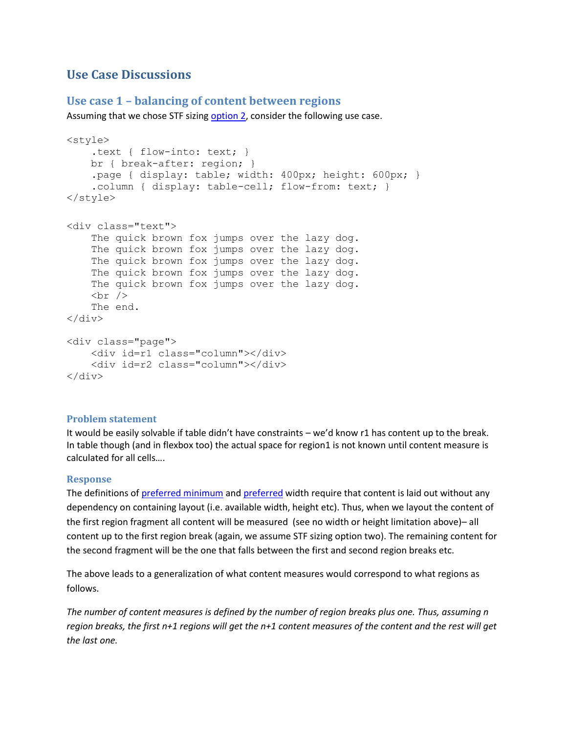# **Use Case Discussions**

## **Use case 1 – balancing of content between regions**

Assuming that we chose STF sizing [option 2,](#page-5-0) consider the following use case.

```
<style>
     .text { flow-into: text; }
    br { break-after: region; }
     .page { display: table; width: 400px; height: 600px; }
     .column { display: table-cell; flow-from: text; }
</style>
<div class="text">
    The quick brown fox jumps over the lazy dog.
    The quick brown fox jumps over the lazy dog.
    The quick brown fox jumps over the lazy dog.
    The quick brown fox jumps over the lazy dog.
    The quick brown fox jumps over the lazy dog.
    \text{br} />
     The end.
</div>
<div class="page">
     <div id=r1 class="column"></div>
     <div id=r2 class="column"></div>
</div>
```
#### **Problem statement**

It would be easily solvable if table didn't have constraints – we'd know r1 has content up to the break. In table though (and in flexbox too) the actual space for region1 is not known until content measure is calculated for all cells….

#### **Response**

The definitions of [preferred minimum](#page-3-2) and [preferred](#page-3-3) width require that content is laid out without any dependency on containing layout (i.e. available width, height etc). Thus, when we layout the content of the first region fragment all content will be measured (see no width or height limitation above)– all content up to the first region break (again, we assume STF sizing option two). The remaining content for the second fragment will be the one that falls between the first and second region breaks etc.

The above leads to a generalization of what content measures would correspond to what regions as follows.

*The number of content measures is defined by the number of region breaks plus one. Thus, assuming n region breaks, the first n+1 regions will get the n+1 content measures of the content and the rest will get the last one.*